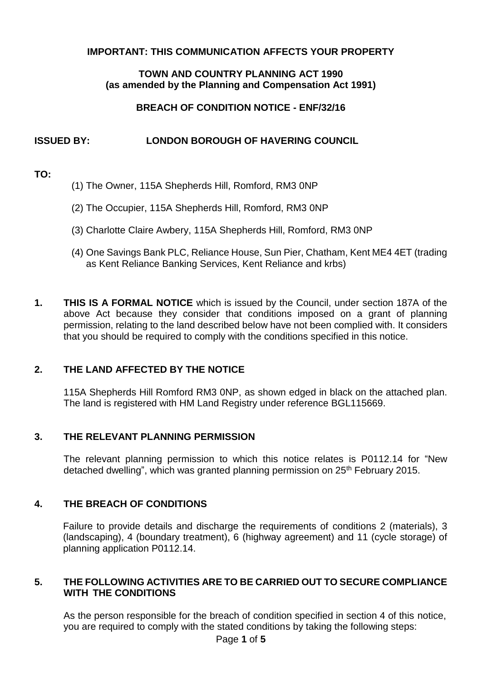#### **IMPORTANT: THIS COMMUNICATION AFFECTS YOUR PROPERTY**

### **TOWN AND COUNTRY PLANNING ACT 1990 (as amended by the Planning and Compensation Act 1991)**

## **BREACH OF CONDITION NOTICE - ENF/32/16**

# **ISSUED BY: LONDON BOROUGH OF HAVERING COUNCIL**

### **TO:**

- (1) The Owner, 115A Shepherds Hill, Romford, RM3 0NP
- (2) The Occupier, 115A Shepherds Hill, Romford, RM3 0NP
- (3) Charlotte Claire Awbery, 115A Shepherds Hill, Romford, RM3 0NP
- (4) One Savings Bank PLC, Reliance House, Sun Pier, Chatham, Kent ME4 4ET (trading as Kent Reliance Banking Services, Kent Reliance and krbs)
- **1. THIS IS A FORMAL NOTICE** which is issued by the Council, under section 187A of the above Act because they consider that conditions imposed on a grant of planning permission, relating to the land described below have not been complied with. It considers that you should be required to comply with the conditions specified in this notice.

# **2. THE LAND AFFECTED BY THE NOTICE**

 115A Shepherds Hill Romford RM3 0NP, as shown edged in black on the attached plan. The land is registered with HM Land Registry under reference BGL115669.

#### **3. THE RELEVANT PLANNING PERMISSION**

 The relevant planning permission to which this notice relates is P0112.14 for "New detached dwelling", which was granted planning permission on 25<sup>th</sup> February 2015.

# **4. THE BREACH OF CONDITIONS**

 Failure to provide details and discharge the requirements of conditions 2 (materials), 3 (landscaping), 4 (boundary treatment), 6 (highway agreement) and 11 (cycle storage) of planning application P0112.14.

## **5. THE FOLLOWING ACTIVITIES ARE TO BE CARRIED OUT TO SECURE COMPLIANCE WITH THE CONDITIONS**

 As the person responsible for the breach of condition specified in section 4 of this notice, you are required to comply with the stated conditions by taking the following steps: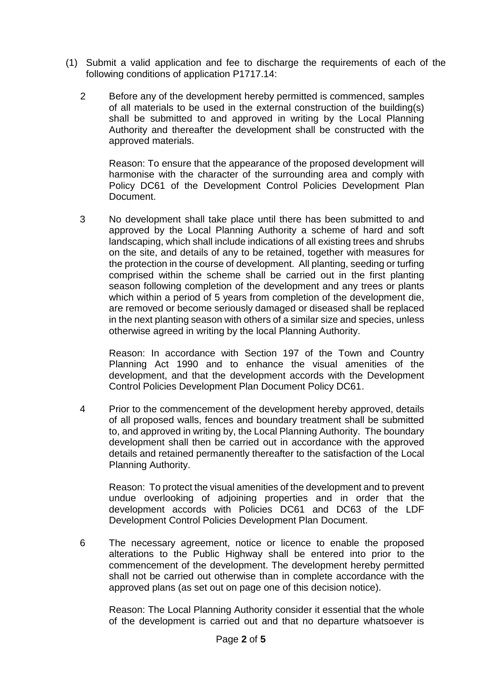- (1) Submit a valid application and fee to discharge the requirements of each of the following conditions of application P1717.14:
	- 2 Before any of the development hereby permitted is commenced, samples of all materials to be used in the external construction of the building(s) shall be submitted to and approved in writing by the Local Planning Authority and thereafter the development shall be constructed with the approved materials.

 Reason: To ensure that the appearance of the proposed development will harmonise with the character of the surrounding area and comply with Policy DC61 of the Development Control Policies Development Plan Document.

 3 No development shall take place until there has been submitted to and approved by the Local Planning Authority a scheme of hard and soft landscaping, which shall include indications of all existing trees and shrubs on the site, and details of any to be retained, together with measures for the protection in the course of development. All planting, seeding or turfing comprised within the scheme shall be carried out in the first planting season following completion of the development and any trees or plants which within a period of 5 years from completion of the development die, are removed or become seriously damaged or diseased shall be replaced in the next planting season with others of a similar size and species, unless otherwise agreed in writing by the local Planning Authority.

 Reason: In accordance with Section 197 of the Town and Country Planning Act 1990 and to enhance the visual amenities of the development, and that the development accords with the Development Control Policies Development Plan Document Policy DC61.

 4 Prior to the commencement of the development hereby approved, details of all proposed walls, fences and boundary treatment shall be submitted to, and approved in writing by, the Local Planning Authority. The boundary development shall then be carried out in accordance with the approved details and retained permanently thereafter to the satisfaction of the Local Planning Authority.

 Reason: To protect the visual amenities of the development and to prevent undue overlooking of adjoining properties and in order that the development accords with Policies DC61 and DC63 of the LDF Development Control Policies Development Plan Document.

 6 The necessary agreement, notice or licence to enable the proposed alterations to the Public Highway shall be entered into prior to the commencement of the development. The development hereby permitted shall not be carried out otherwise than in complete accordance with the approved plans (as set out on page one of this decision notice).

 Reason: The Local Planning Authority consider it essential that the whole of the development is carried out and that no departure whatsoever is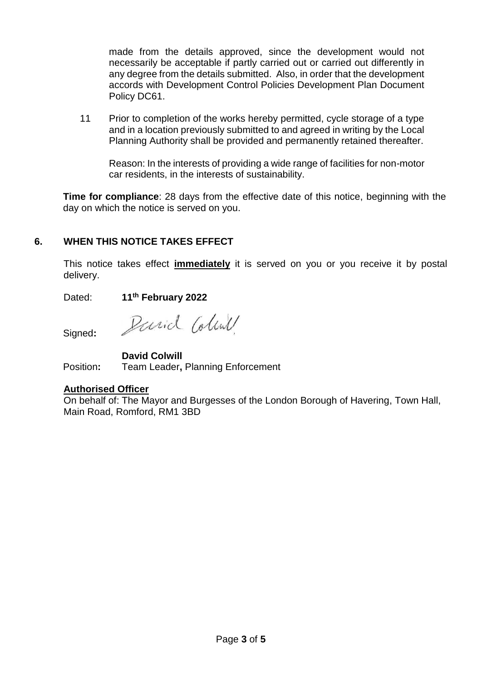made from the details approved, since the development would not necessarily be acceptable if partly carried out or carried out differently in any degree from the details submitted. Also, in order that the development accords with Development Control Policies Development Plan Document Policy DC61.

 11 Prior to completion of the works hereby permitted, cycle storage of a type and in a location previously submitted to and agreed in writing by the Local Planning Authority shall be provided and permanently retained thereafter.

 Reason: In the interests of providing a wide range of facilities for non-motor car residents, in the interests of sustainability.

 **Time for compliance**: 28 days from the effective date of this notice, beginning with the day on which the notice is served on you.

# **6. WHEN THIS NOTICE TAKES EFFECT**

 This notice takes effect **immediately** it is served on you or you receive it by postal delivery.

Dated: **11th February 2022** 

Signed**:** 

Parid Coline

**David Colwill** 

Position**:** Team Leader**,** Planning Enforcement

# **Authorised Officer**

On behalf of: The Mayor and Burgesses of the London Borough of Havering, Town Hall, Main Road, Romford, RM1 3BD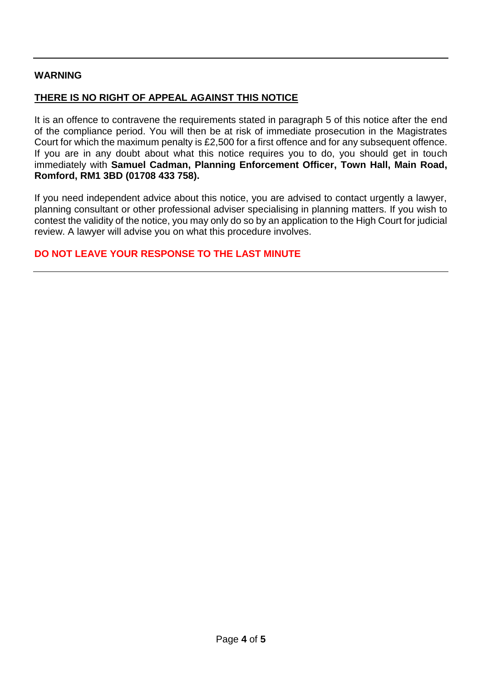#### **WARNING**

## **THERE IS NO RIGHT OF APPEAL AGAINST THIS NOTICE**

 It is an offence to contravene the requirements stated in paragraph 5 of this notice after the end of the compliance period. You will then be at risk of immediate prosecution in the Magistrates Court for which the maximum penalty is £2,500 for a first offence and for any subsequent offence. If you are in any doubt about what this notice requires you to do, you should get in touch immediately with **Samuel Cadman, Planning Enforcement Officer, Town Hall, Main Road, Romford, RM1 3BD (01708 433 758).** 

 If you need independent advice about this notice, you are advised to contact urgently a lawyer, planning consultant or other professional adviser specialising in planning matters. If you wish to contest the validity of the notice, you may only do so by an application to the High Court for judicial review. A lawyer will advise you on what this procedure involves.

### **DO NOT LEAVE YOUR RESPONSE TO THE LAST MINUTE**